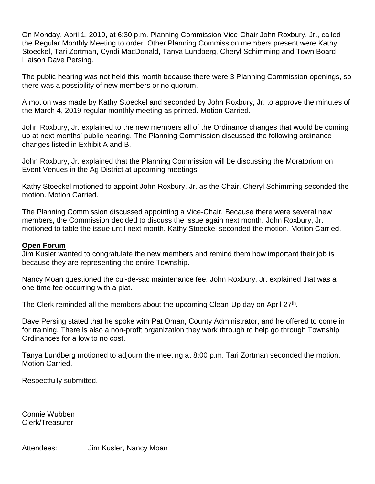On Monday, April 1, 2019, at 6:30 p.m. Planning Commission Vice-Chair John Roxbury, Jr., called the Regular Monthly Meeting to order. Other Planning Commission members present were Kathy Stoeckel, Tari Zortman, Cyndi MacDonald, Tanya Lundberg, Cheryl Schimming and Town Board Liaison Dave Persing.

The public hearing was not held this month because there were 3 Planning Commission openings, so there was a possibility of new members or no quorum.

A motion was made by Kathy Stoeckel and seconded by John Roxbury, Jr. to approve the minutes of the March 4, 2019 regular monthly meeting as printed. Motion Carried.

John Roxbury, Jr. explained to the new members all of the Ordinance changes that would be coming up at next months' public hearing. The Planning Commission discussed the following ordinance changes listed in Exhibit A and B.

John Roxbury, Jr. explained that the Planning Commission will be discussing the Moratorium on Event Venues in the Ag District at upcoming meetings.

Kathy Stoeckel motioned to appoint John Roxbury, Jr. as the Chair. Cheryl Schimming seconded the motion. Motion Carried.

The Planning Commission discussed appointing a Vice-Chair. Because there were several new members, the Commission decided to discuss the issue again next month. John Roxbury, Jr. motioned to table the issue until next month. Kathy Stoeckel seconded the motion. Motion Carried.

### **Open Forum**

Jim Kusler wanted to congratulate the new members and remind them how important their job is because they are representing the entire Township.

Nancy Moan questioned the cul-de-sac maintenance fee. John Roxbury, Jr. explained that was a one-time fee occurring with a plat.

The Clerk reminded all the members about the upcoming Clean-Up day on April  $27<sup>th</sup>$ .

Dave Persing stated that he spoke with Pat Oman, County Administrator, and he offered to come in for training. There is also a non-profit organization they work through to help go through Township Ordinances for a low to no cost.

Tanya Lundberg motioned to adjourn the meeting at 8:00 p.m. Tari Zortman seconded the motion. Motion Carried.

Respectfully submitted,

Connie Wubben Clerk/Treasurer

Attendees: Jim Kusler, Nancy Moan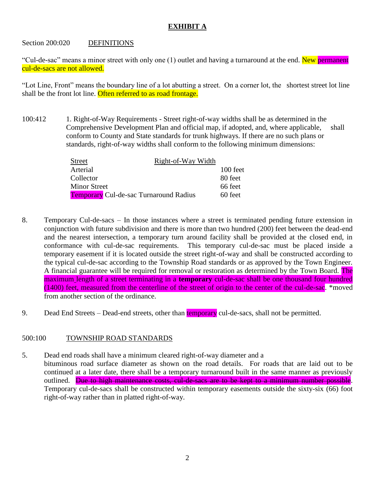# **EXHIBIT A**

### Section 200:020 DEFINITIONS

"Cul-de-sac" means a minor street with only one (1) outlet and having a turnaround at the end. New permanent cul-de-sacs are not allowed.

"Lot Line, Front" means the boundary line of a lot abutting a street. On a corner lot, the shortest street lot line shall be the front lot line. Often referred to as road frontage.

100:412 1. Right-of-Way Requirements - Street right-of-way widths shall be as determined in the Comprehensive Development Plan and official map, if adopted, and, where applicable, shall conform to County and State standards for trunk highways. If there are no such plans or standards, right-of-way widths shall conform to the following minimum dimensions:

| Street                                        | Right-of-Way Width |          |
|-----------------------------------------------|--------------------|----------|
| Arterial                                      |                    | 100 feet |
| Collector                                     |                    | 80 feet  |
| Minor Street                                  |                    | 66 feet  |
| <b>Temporary</b> Cul-de-sac Turnaround Radius |                    | 60 feet  |

- 8. Temporary Cul-de-sacs In those instances where a street is terminated pending future extension in conjunction with future subdivision and there is more than two hundred (200) feet between the dead-end and the nearest intersection, a temporary turn around facility shall be provided at the closed end, in conformance with cul-de-sac requirements. This temporary cul-de-sac must be placed inside a temporary easement if it is located outside the street right-of-way and shall be constructed according to the typical cul-de-sac according to the Township Road standards or as approved by the Town Engineer. A financial guarantee will be required for removal or restoration as determined by the Town Board. The maximum length of a street terminating in a **temporary** cul-de-sac shall be one thousand four hundred (1400) feet, measured from the centerline of the street of origin to the center of the cul-de-sac. \*moved from another section of the ordinance.
- 9. Dead End Streets Dead-end streets, other than temporary cul-de-sacs, shall not be permitted.

## 500:100 TOWNSHIP ROAD STANDARDS

5. Dead end roads shall have a minimum cleared right-of-way diameter and a bituminous road surface diameter as shown on the road details. For roads that are laid out to be continued at a later date, there shall be a temporary turnaround built in the same manner as previously outlined. Due to high maintenance costs, cul-de-sacs are to be kept to a minimum number possible. Temporary cul-de-sacs shall be constructed within temporary easements outside the sixty-six (66) foot right-of-way rather than in platted right-of-way.